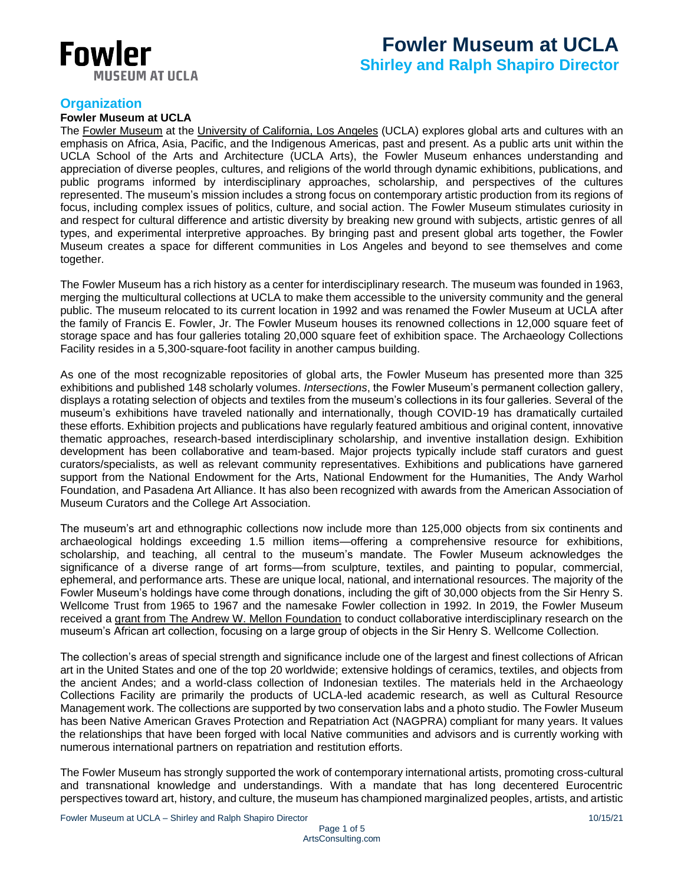

# **Fowler Museum at UCLA**

**Shirley and Ralph Shapiro Director**

# **Organization**

## **Fowler Museum at UCLA**

The [Fowler Museum](https://fowler.ucla.edu/) at the [University of California,](https://www.ucla.edu/) Los Angeles (UCLA) explores global arts and cultures with an emphasis on Africa, Asia, Pacific, and the Indigenous Americas, past and present. As a public arts unit within the UCLA School of the Arts and Architecture (UCLA Arts), the Fowler Museum enhances understanding and appreciation of diverse peoples, cultures, and religions of the world through dynamic exhibitions, publications, and public programs informed by interdisciplinary approaches, scholarship, and perspectives of the cultures represented. The museum's mission includes a strong focus on contemporary artistic production from its regions of focus, including complex issues of politics, culture, and social action. The Fowler Museum stimulates curiosity in and respect for cultural difference and artistic diversity by breaking new ground with subjects, artistic genres of all types, and experimental interpretive approaches. By bringing past and present global arts together, the Fowler Museum creates a space for different communities in Los Angeles and beyond to see themselves and come together.

The Fowler Museum has a rich history as a center for interdisciplinary research. The museum was founded in 1963, merging the multicultural collections at UCLA to make them accessible to the university community and the general public. The museum relocated to its current location in 1992 and was renamed the Fowler Museum at UCLA after the family of Francis E. Fowler, Jr. The Fowler Museum houses its renowned collections in 12,000 square feet of storage space and has four galleries totaling 20,000 square feet of exhibition space. The Archaeology Collections Facility resides in a 5,300-square-foot facility in another campus building.

As one of the most recognizable repositories of global arts, the Fowler Museum has presented more than 325 exhibitions and published 148 scholarly volumes. *Intersections*, the Fowler Museum's permanent collection gallery, displays a rotating selection of objects and textiles from the museum's collections in its four galleries. Several of the museum's exhibitions have traveled nationally and internationally, though COVID-19 has dramatically curtailed these efforts. Exhibition projects and publications have regularly featured ambitious and original content, innovative thematic approaches, research-based interdisciplinary scholarship, and inventive installation design. Exhibition development has been collaborative and team-based. Major projects typically include staff curators and guest curators/specialists, as well as relevant community representatives. Exhibitions and publications have garnered support from the National Endowment for the Arts, National Endowment for the Humanities, The Andy Warhol Foundation, and Pasadena Art Alliance. It has also been recognized with awards from the American Association of Museum Curators and the College Art Association.

The museum's art and ethnographic collections now include more than 125,000 objects from six continents and archaeological holdings exceeding 1.5 million items—offering a comprehensive resource for exhibitions, scholarship, and teaching, all central to the museum's mandate. The Fowler Museum acknowledges the significance of a diverse range of art forms—from sculpture, textiles, and painting to popular, commercial, ephemeral, and performance arts. These are unique local, national, and international resources. The majority of the Fowler Museum's holdings have come through donations, including the gift of 30,000 objects from the Sir Henry S. Wellcome Trust from 1965 to 1967 and the namesake Fowler collection in 1992. In 2019, the Fowler Museum received a [grant from The Andrew W. Mellon Foundation](https://arts.ucla.edu/single/the-fowler-museum-at-ucla-to-launch-curatorial-research-initiative-on-its-african-art-collection/?utm_source=UCLA%20Arts%20Events%20Email&utm_campaign=1246584689-Week_4_Winter_2019&utm_medium=email&utm_term=0_1812e4e39a-1246584689-230824417&mc_cid=1246584689&mc_eid=1dcf6861c3) to conduct collaborative interdisciplinary research on the museum's African art collection, focusing on a large group of objects in the Sir Henry S. Wellcome Collection.

The collection's areas of special strength and significance include one of the largest and finest collections of African art in the United States and one of the top 20 worldwide; extensive holdings of ceramics, textiles, and objects from the ancient Andes; and a world-class collection of Indonesian textiles. The materials held in the Archaeology Collections Facility are primarily the products of UCLA-led academic research, as well as Cultural Resource Management work. The collections are supported by two conservation labs and a photo studio. The Fowler Museum has been Native American Graves Protection and Repatriation Act (NAGPRA) compliant for many years. It values the relationships that have been forged with local Native communities and advisors and is currently working with numerous international partners on repatriation and restitution efforts.

The Fowler Museum has strongly supported the work of contemporary international artists, promoting cross-cultural and transnational knowledge and understandings. With a mandate that has long decentered Eurocentric perspectives toward art, history, and culture, the museum has championed marginalized peoples, artists, and artistic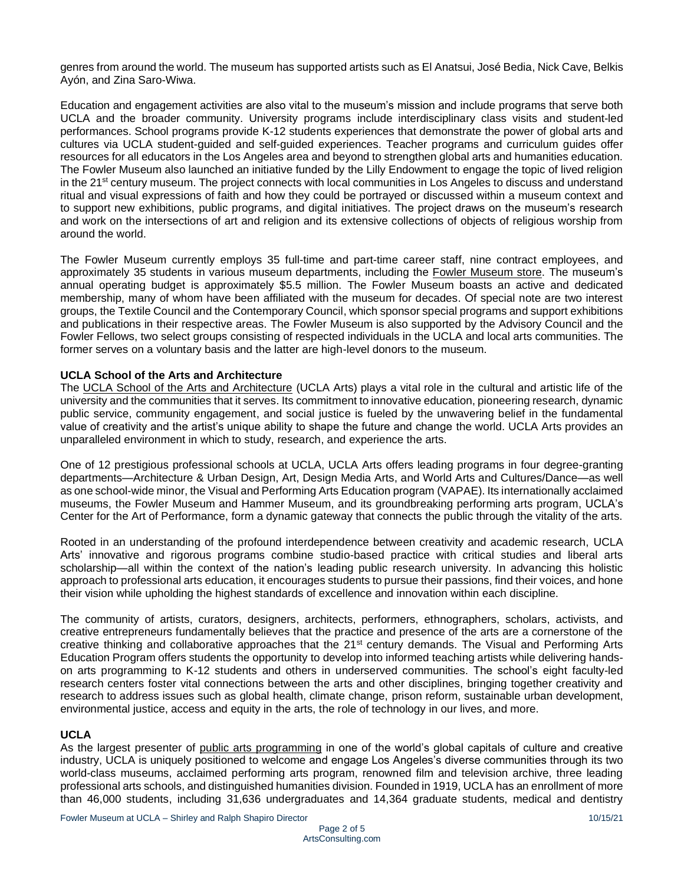genres from around the world. The museum has supported artists such as El Anatsui, José Bedia, Nick Cave, Belkis Ayón, and Zina Saro-Wiwa.

Education and engagement activities are also vital to the museum's mission and include programs that serve both UCLA and the broader community. University programs include interdisciplinary class visits and student-led performances. School programs provide K-12 students experiences that demonstrate the power of global arts and cultures via UCLA student-guided and self-guided experiences. Teacher programs and curriculum guides offer resources for all educators in the Los Angeles area and beyond to strengthen global arts and humanities education. The Fowler Museum also launched an initiative funded by the Lilly Endowment to engage the topic of lived religion in the 21<sup>st</sup> century museum. The project connects with local communities in Los Angeles to discuss and understand ritual and visual expressions of faith and how they could be portrayed or discussed within a museum context and to support new exhibitions, public programs, and digital initiatives. The project draws on the museum's research and work on the intersections of art and religion and its extensive collections of objects of religious worship from around the world.

The Fowler Museum currently employs 35 full-time and part-time career staff, nine contract employees, and approximately 35 students in various museum departments, including the [Fowler Museum store.](https://fowler.ucla.edu/museum-store/) The museum's annual operating budget is approximately \$5.5 million. The Fowler Museum boasts an active and dedicated membership, many of whom have been affiliated with the museum for decades. Of special note are two interest groups, the Textile Council and the Contemporary Council, which sponsor special programs and support exhibitions and publications in their respective areas. The Fowler Museum is also supported by the Advisory Council and the Fowler Fellows, two select groups consisting of respected individuals in the UCLA and local arts communities. The former serves on a voluntary basis and the latter are high-level donors to the museum.

#### **UCLA School of the Arts and Architecture**

The [UCLA School of the Arts and Architecture](https://www.arts.ucla.edu/) (UCLA Arts) plays a vital role in the cultural and artistic life of the university and the communities that it serves. Its commitment to innovative education, pioneering research, dynamic public service, community engagement, and social justice is fueled by the unwavering belief in the fundamental value of creativity and the artist's unique ability to shape the future and change the world. UCLA Arts provides an unparalleled environment in which to study, research, and experience the arts.

One of 12 prestigious professional schools at UCLA, UCLA Arts offers leading programs in four degree-granting departments—Architecture & Urban Design, Art, Design Media Arts, and World Arts and Cultures/Dance—as well as one school-wide minor, the Visual and Performing Arts Education program (VAPAE). Its internationally acclaimed museums, the Fowler Museum and Hammer Museum, and its groundbreaking performing arts program, UCLA's Center for the Art of Performance, form a dynamic gateway that connects the public through the vitality of the arts.

Rooted in an understanding of the profound interdependence between creativity and academic research, UCLA Arts' innovative and rigorous programs combine studio-based practice with critical studies and liberal arts scholarship—all within the context of the nation's leading public research university. In advancing this holistic approach to professional arts education, it encourages students to pursue their passions, find their voices, and hone their vision while upholding the highest standards of excellence and innovation within each discipline.

The community of artists, curators, designers, architects, performers, ethnographers, scholars, activists, and creative entrepreneurs fundamentally believes that the practice and presence of the arts are a cornerstone of the creative thinking and collaborative approaches that the 21st century demands. The Visual and Performing Arts Education Program offers students the opportunity to develop into informed teaching artists while delivering handson arts programming to K-12 students and others in underserved communities. The school's eight faculty-led research centers foster vital connections between the arts and other disciplines, bringing together creativity and research to address issues such as global health, climate change, prison reform, sustainable urban development, environmental justice, access and equity in the arts, the role of technology in our lives, and more.

#### **UCLA**

As the largest presenter of [public arts programming](https://goarts.ucla.edu/about) in one of the world's global capitals of culture and creative industry, UCLA is uniquely positioned to welcome and engage Los Angeles's diverse communities through its two world-class museums, acclaimed performing arts program, renowned film and television archive, three leading professional arts schools, and distinguished humanities division. Founded in 1919, UCLA has an enrollment of more than 46,000 students, including 31,636 undergraduates and 14,364 graduate students, medical and dentistry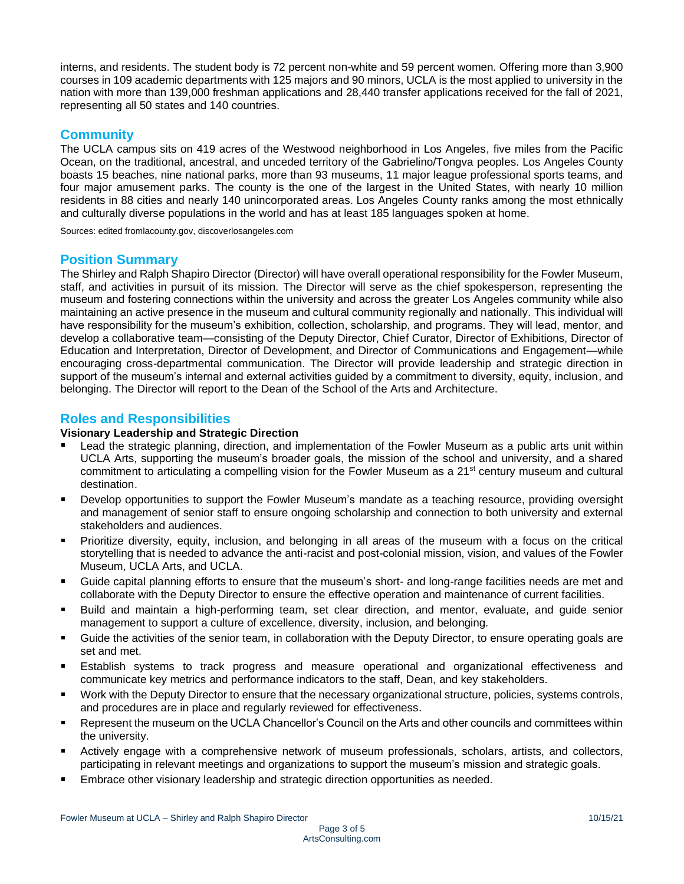interns, and residents. The student body is 72 percent non-white and 59 percent women. Offering more than 3,900 courses in 109 academic departments with 125 majors and 90 minors, UCLA is the most applied to university in the nation with more than 139,000 freshman applications and 28,440 transfer applications received for the fall of 2021, representing all 50 states and 140 countries.

# **Community**

The UCLA campus sits on 419 acres of the Westwood neighborhood in Los Angeles, five miles from the Pacific Ocean, on the traditional, ancestral, and unceded territory of the Gabrielino/Tongva peoples. Los Angeles County boasts 15 beaches, nine national parks, more than 93 museums, 11 major league professional sports teams, and four major amusement parks. The county is the one of the largest in the United States, with nearly 10 million residents in 88 cities and nearly 140 unincorporated areas. Los Angeles County ranks among the most ethnically and culturally diverse populations in the world and has at least 185 languages spoken at home.

Sources: edited fromlacounty.gov, discoverlosangeles.com

# **Position Summary**

The Shirley and Ralph Shapiro Director (Director) will have overall operational responsibility for the Fowler Museum, staff, and activities in pursuit of its mission. The Director will serve as the chief spokesperson, representing the museum and fostering connections within the university and across the greater Los Angeles community while also maintaining an active presence in the museum and cultural community regionally and nationally. This individual will have responsibility for the museum's exhibition, collection, scholarship, and programs. They will lead, mentor, and develop a collaborative team—consisting of the Deputy Director, Chief Curator, Director of Exhibitions, Director of Education and Interpretation, Director of Development, and Director of Communications and Engagement—while encouraging cross-departmental communication. The Director will provide leadership and strategic direction in support of the museum's internal and external activities guided by a commitment to diversity, equity, inclusion, and belonging. The Director will report to the Dean of the School of the Arts and Architecture.

# **Roles and Responsibilities**

#### **Visionary Leadership and Strategic Direction**

- Lead the strategic planning, direction, and implementation of the Fowler Museum as a public arts unit within UCLA Arts, supporting the museum's broader goals, the mission of the school and university, and a shared commitment to articulating a compelling vision for the Fowler Museum as a  $21<sup>st</sup>$  century museum and cultural destination.
- Develop opportunities to support the Fowler Museum's mandate as a teaching resource, providing oversight  $\blacksquare$ and management of senior staff to ensure ongoing scholarship and connection to both university and external stakeholders and audiences.
- Prioritize diversity, equity, inclusion, and belonging in all areas of the museum with a focus on the critical storytelling that is needed to advance the anti-racist and post-colonial mission, vision, and values of the Fowler Museum, UCLA Arts, and UCLA.
- Guide capital planning efforts to ensure that the museum's short- and long-range facilities needs are met and collaborate with the Deputy Director to ensure the effective operation and maintenance of current facilities.
- Build and maintain a high-performing team, set clear direction, and mentor, evaluate, and guide senior management to support a culture of excellence, diversity, inclusion, and belonging.
- Guide the activities of the senior team, in collaboration with the Deputy Director, to ensure operating goals are set and met.
- Establish systems to track progress and measure operational and organizational effectiveness and communicate key metrics and performance indicators to the staff, Dean, and key stakeholders.
- Work with the Deputy Director to ensure that the necessary organizational structure, policies, systems controls, and procedures are in place and regularly reviewed for effectiveness.
- Represent the museum on the UCLA Chancellor's Council on the Arts and other councils and committees within the university.
- Actively engage with a comprehensive network of museum professionals, scholars, artists, and collectors, participating in relevant meetings and organizations to support the museum's mission and strategic goals.
- Embrace other visionary leadership and strategic direction opportunities as needed.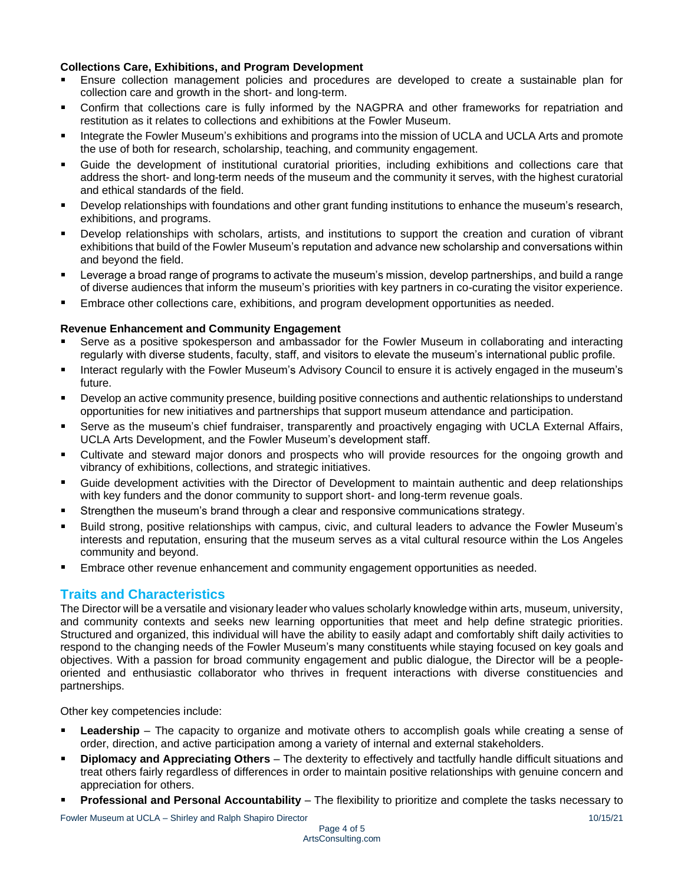## **Collections Care, Exhibitions, and Program Development**

- Ensure collection management policies and procedures are developed to create a sustainable plan for collection care and growth in the short- and long-term.
- Confirm that collections care is fully informed by the NAGPRA and other frameworks for repatriation and restitution as it relates to collections and exhibitions at the Fowler Museum.
- Integrate the Fowler Museum's exhibitions and programs into the mission of UCLA and UCLA Arts and promote the use of both for research, scholarship, teaching, and community engagement.
- Guide the development of institutional curatorial priorities, including exhibitions and collections care that address the short- and long-term needs of the museum and the community it serves, with the highest curatorial and ethical standards of the field.
- Develop relationships with foundations and other grant funding institutions to enhance the museum's research, exhibitions, and programs.
- Develop relationships with scholars, artists, and institutions to support the creation and curation of vibrant exhibitions that build of the Fowler Museum's reputation and advance new scholarship and conversations within and beyond the field.
- Leverage a broad range of programs to activate the museum's mission, develop partnerships, and build a range of diverse audiences that inform the museum's priorities with key partners in co-curating the visitor experience.
- Embrace other collections care, exhibitions, and program development opportunities as needed.

#### **Revenue Enhancement and Community Engagement**

- Serve as a positive spokesperson and ambassador for the Fowler Museum in collaborating and interacting regularly with diverse students, faculty, staff, and visitors to elevate the museum's international public profile.
- Interact regularly with the Fowler Museum's Advisory Council to ensure it is actively engaged in the museum's future.
- Develop an active community presence, building positive connections and authentic relationships to understand opportunities for new initiatives and partnerships that support museum attendance and participation.
- Serve as the museum's chief fundraiser, transparently and proactively engaging with UCLA External Affairs, ٠ UCLA Arts Development, and the Fowler Museum's development staff.
- Cultivate and steward major donors and prospects who will provide resources for the ongoing growth and vibrancy of exhibitions, collections, and strategic initiatives.
- Guide development activities with the Director of Development to maintain authentic and deep relationships with key funders and the donor community to support short- and long-term revenue goals.
- Strengthen the museum's brand through a clear and responsive communications strategy.
- Build strong, positive relationships with campus, civic, and cultural leaders to advance the Fowler Museum's interests and reputation, ensuring that the museum serves as a vital cultural resource within the Los Angeles community and beyond.
- Embrace other revenue enhancement and community engagement opportunities as needed.

## **Traits and Characteristics**

The Director will be a versatile and visionary leader who values scholarly knowledge within arts, museum, university, and community contexts and seeks new learning opportunities that meet and help define strategic priorities. Structured and organized, this individual will have the ability to easily adapt and comfortably shift daily activities to respond to the changing needs of the Fowler Museum's many constituents while staying focused on key goals and objectives. With a passion for broad community engagement and public dialogue, the Director will be a peopleoriented and enthusiastic collaborator who thrives in frequent interactions with diverse constituencies and partnerships.

Other key competencies include:

- Leadership The capacity to organize and motivate others to accomplish goals while creating a sense of order, direction, and active participation among a variety of internal and external stakeholders.
- **Diplomacy and Appreciating Others**  The dexterity to effectively and tactfully handle difficult situations and treat others fairly regardless of differences in order to maintain positive relationships with genuine concern and appreciation for others.
- **Professional and Personal Accountability** The flexibility to prioritize and complete the tasks necessary to

Fowler Museum at UCLA – Shirley and Ralph Shapiro Director 10/15/21 10/15/21